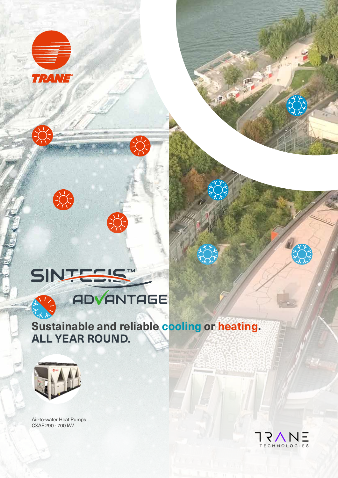



天人 **Sustainable and reliable cooling or heating. ALL YEAR ROUND.**



Air-to-water Heat Pumps CXAF 290 - 700 kW

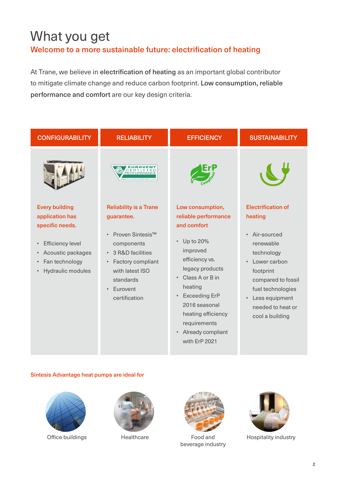# What you get Welcome to a more sustainable future: electrification of heating

At Trane, we believe in electrification of heating as an important global contributor to mitigate climate change and reduce carbon footprint. Low consumption, reliable performance and comfort are our key design criteria.









Office buildings **Healthcare** Food and beverage industry



Hospitality industry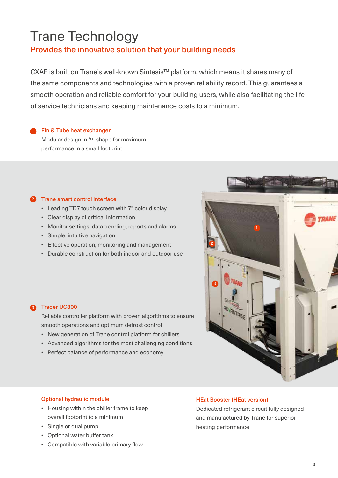# Trane Technology

# Provides the innovative solution that your building needs

CXAF is built on Trane's well-known Sintesis™ platform, which means it shares many of the same components and technologies with a proven reliability record. This guarantees a smooth operation and reliable comfort for your building users, while also facilitating the life of service technicians and keeping maintenance costs to a minimum.

# Fin & Tube heat exchanger

Modular design in 'V' shape for maximum performance in a small footprint

#### Trane smart control interface 2

- Leading TD7 touch screen with 7" color display
- Clear display of critical information
- Monitor settings, data trending, reports and alarms
- Simple, intuitive navigation
- Effective operation, monitoring and management
- Durable construction for both indoor and outdoor use



Reliable controller platform with proven algorithms to ensure smooth operations and optimum defrost control

- New generation of Trane control platform for chillers
- Advanced algorithms for the most challenging conditions
- Perfect balance of performance and economy



### Optional hydraulic module

- Housing within the chiller frame to keep overall footprint to a minimum
- Single or dual pump
- Optional water buffer tank
- Compatible with variable primary flow

### HEat Booster (HEat version)

Dedicated refrigerant circuit fully designed and manufactured by Trane for superior heating performance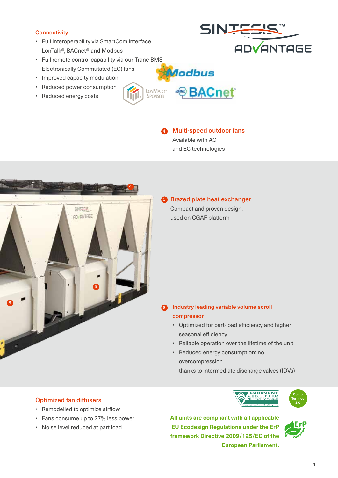### **Connectivity**

- Full interoperability via SmartCom interface LonTalk®, BACnet® and Modbus
- Full remote control capability via our Trane BMS Electronically Commutated (EC) fans
- Improved capacity modulation
- Reduced power consumption
- Reduced energy costs



# SINTES **ADVANTAGE**



**BACnet** 

lodbus



# **6** Brazed plate heat exchanger Compact and proven design, used on CGAF platform

#### Industry leading variable volume scroll compressor 6

- Optimized for part-load efficiency and higher seasonal efficiency
- Reliable operation over the lifetime of the unit
- Reduced energy consumption: no overcompression thanks to intermediate discharge valves (IDVs)

# **Optimized fan diffusers 2.000 minutes and 2.000 minutes and 2.000 minutes and 2.000 minutes and 2.000 minutes and 2.000 minutes and 2.000 minutes and 2.000 minutes and 2.000 minutes and 2.000 minutes and 2.000 minutes a**

- Remodelled to optimize airflow
- Fans consume up to 27% less power
- Noise level reduced at part load



**All units are compliant with all applicable EU Ecodesign Regulations under the ErP framework Directive 2009/125/EC of the European Parliament.**



4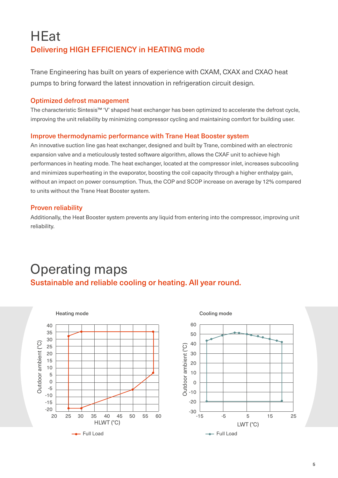# **HEat** Delivering HIGH EFFICIENCY in HEATING mode

Trane Engineering has built on years of experience with CXAM, CXAX and CXAO heat pumps to bring forward the latest innovation in refrigeration circuit design.

## Optimized defrost management

The characteristic Sintesis™ 'V' shaped heat exchanger has been optimized to accelerate the defrost cycle, improving the unit reliability by minimizing compressor cycling and maintaining comfort for building user.

## Improve thermodynamic performance with Trane Heat Booster system

An innovative suction line gas heat exchanger, designed and built by Trane, combined with an electronic expansion valve and a meticulously tested software algorithm, allows the CXAF unit to achieve high performances in heating mode. The heat exchanger, located at the compressor inlet, increases subcooling and minimizes superheating in the evaporator, boosting the coil capacity through a higher enthalpy gain, without an impact on power consumption. Thus, the COP and SCOP increase on average by 12% compared to units without the Trane Heat Booster system.

# Proven reliability

Additionally, the Heat Booster system prevents any liquid from entering into the compressor, improving unit reliability.

# Operating maps Sustainable and reliable cooling or heating. All year round.